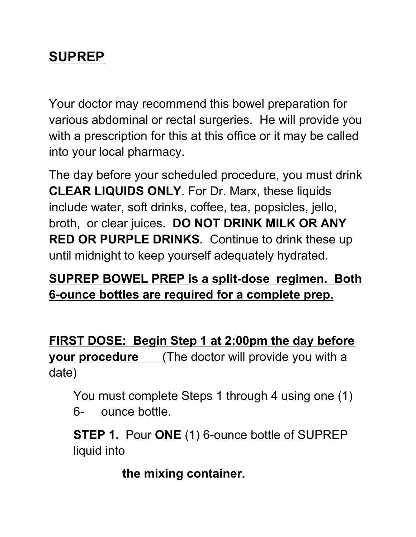## **SUPREP**

Your doctor may recommend this bowel preparation for various abdominal or rectal surgeries. He will provide you with a prescription for this at this office or it may be called into your local pharmacy.

The day before your scheduled procedure, you must drink **CLEAR LIQUIDS ONLY**. For Dr. Marx, these liquids include water, soft drinks, coffee, tea, popsicles, jello, broth, or clear juices. **DO NOT DRINK MILK OR ANY RED OR PURPLE DRINKS.** Continue to drink these up until midnight to keep yourself adequately hydrated.

## **SUPREP BOWEL PREP is a split-dose regimen. Both 6-ounce bottles are required for a complete prep.**

**FIRST DOSE: Begin Step 1 at 2:00pm the day before your procedure** (The doctor will provide you with a date)

You must complete Steps 1 through 4 using one (1) 6- ounce bottle.

**STEP 1.** Pour **ONE** (1) 6-ounce bottle of SUPREP liquid into

**the mixing container.**